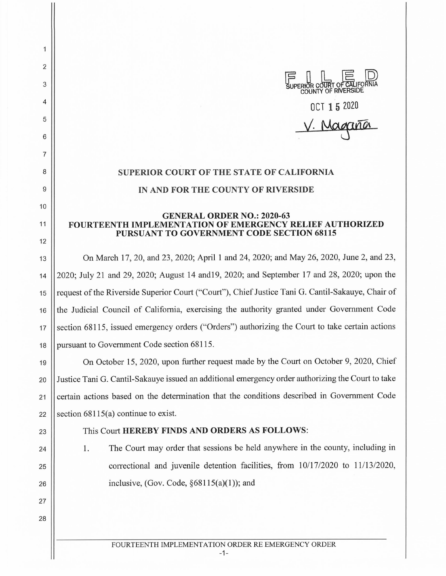FF DE DE DE DE SUPERIOR COUNTY OF RIVERSIDE OCT 1 5 2020 V. Magaria

## **SUPERIOR COURT OF THE STATE OF CALIFORNIA IN AND FOR THE COUNTY OF RIVERSIDE**

## **GENERAL ORDER NO.: 2020-63 FOURTEENTH IMPLEMENTATION OF EMERGENCY RELIEF AUTHORIZED PURSUANT TO GOVERNMENT CODE SECTION 68115**

13 On March 17, 20, and 23, 2020; April 1 and 24, 2020; and May 26, 2020, June 2, and 23, 14 2020; July 21 and 29, 2020; August 14 and19, 2020; and September 17 and 28, 2020; upon the 15 || request of the Riverside Superior Court ("Court"), Chief Justice Tani G. Cantil-Sakauye, Chair of 16 the Judicial Council of California, exercising the authority granted under Government Code  $17$  section 68115, issued emergency orders ("Orders") authorizing the Court to take certain actions 18 Dursuant to Government Code section 68115.

19 On October 15, 2020, upon further request made by the Court on October 9, 2020, Chief 20 Justice Tani G. Cantil-Sakauye issued an additional emergency order authorizing the Court to take 21 Certain actions based on the determination that the conditions described in Government Code 22 Section  $68115(a)$  continue to exist.

24

25

26

27

28

2

 $\mathbf{1}$ 

3

4

5

6

7

8

9

10

11

12

## 23 This Court **HEREBY FINDS AND ORDERS AS FOLLOWS:**

1. The Court may order that sessions be held anywhere in the county, including in correctional and juvenile detention facilities, from 10/17/2020 to 11/13/2020, inclusive, (Gov. Code,  $§68115(a)(1)$ ); and